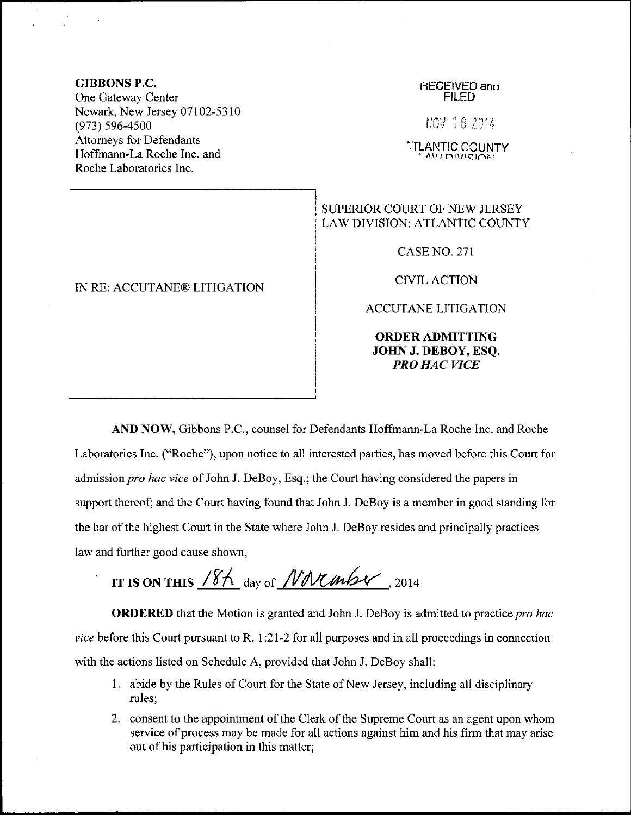## GIBBONS P,C,

One Gateway Center Newark, New Jersey 07102-5310 (973) s96-4s00 Attomeys for Defendants Hoffmann-La Roche Inc. and Roche Laboratories Inc.

IN RE: ACCIJTANE@ LITIGATION

## HECEIVED ano FILED

iic'i ia ti:{

TLANTIC COUNTY

## SUPERIOR COURT OF NEW JERSEY LAW DIVISION: ATLANTIC COUNTY

CASE NO. 271

CIVILACTION

ACCUTANE LITIGATION

ORDERADMITTING JOHN J. DEBOY, ESQ. PRO HAC WCE

AND NOW, Gibbons P.C., counsel for Defendants Hoffmann-La Roche Inc. and Roche Laboratories Inc. ("Roche"), upon notice to all interested parties, has moved before this Court for admission pro hac vice of John J. DeBoy, Esq.; the Court having considered the papers in support thereof; and the Court having found that John J. DeBoy is a member in good standing for the bar of the highest Court in the State where John J. DeBoy resides and principally practices law and further good cause shown,

IT IS ON THIS  $18/\sqrt{10}$  day of *NNCmbY*, 2014

**ORDERED** that the Motion is granted and John J. DeBoy is admitted to practice pro hac *vice* before this Court pursuant to R. 1:21-2 for all purposes and in all proceedings in connection with the actions listed on Schedule A, provided that John J. DeBoy shall:

- <sup>1</sup>. abide by the Rules of Court for the State of New Jersey, including all disciplinary rules;
- 2. consent to the appointment of the Clerk of the Supreme Court as an agent upon whom service of process may be made for all actions against him and his firm that may arise out of his participation in this matter;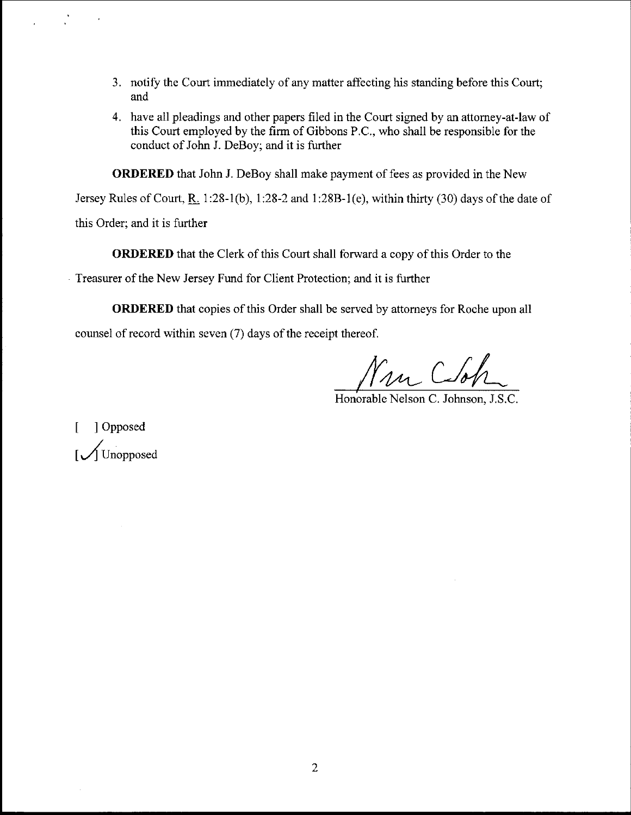- 3. notify the Court immediately of any matter affecting his standing before this Court; and
- 4. have all pleadings and other papers filed in the Court signed by an attomey-at-law of this Court employed by the firm of Gibbons P.C., who shall be responsible for the conduct of John J. DeBoy; and it is further

ORDERED that John J. DeBoy shall make payment of fees as provided in the New

Jersey Rules of Court, R. 1:28-1(b), 1:28-2 and 1:28B-1(e), within thirty (30) days of the date of

this Order; and it is futher

ORJERED that the Clerk of this Court shall forward a copy of this Order to the

Treasurer of the New Jersey Fund for Client Protection; and it is further

ORDERED that copies of this Order shall be served by attorneys for Roche upon all counsel of record within seven (7) days of the receipt thereof.

Nun Cloh

Honorable Nelson C. Johnson. J.S.C.

[ ]Opposed |<br>| Unopposed